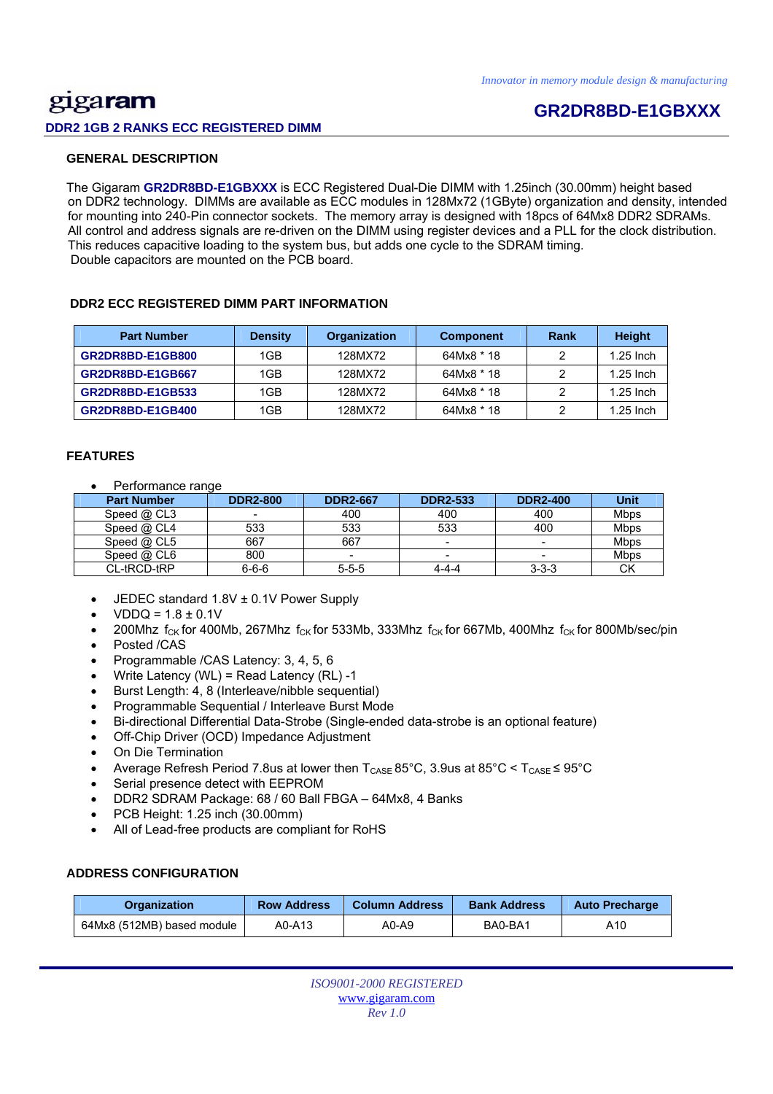## <u>gig</u>a**ram DDR2 1GB 2 RANKS ECC REGISTERED DIMM**

## **GR2DR8BD-E1GBXXX**

#### **GENERAL DESCRIPTION**

 The Gigaram **GR2DR8BD-E1GBXXX** is ECC Registered Dual-Die DIMM with 1.25inch (30.00mm) height based on DDR2 technology. DIMMs are available as ECC modules in 128Mx72 (1GByte) organization and density, intended for mounting into 240-Pin connector sockets. The memory array is designed with 18pcs of 64Mx8 DDR2 SDRAMs. All control and address signals are re-driven on the DIMM using register devices and a PLL for the clock distribution. This reduces capacitive loading to the system bus, but adds one cycle to the SDRAM timing. Double capacitors are mounted on the PCB board.

#### **DDR2 ECC REGISTERED DIMM PART INFORMATION**

| <b>Part Number</b> | <b>Density</b> | <b>Organization</b> | <b>Component</b> | Rank | <b>Height</b> |
|--------------------|----------------|---------------------|------------------|------|---------------|
| GR2DR8BD-E1GB800   | 1GB            | 128MX72             | 64Mx8 * 18       |      | $1.25$ Inch   |
| GR2DR8BD-E1GB667   | 1GB            | 128MX72             | 64Mx8 * 18       |      | $1.25$ Inch   |
| GR2DR8BD-E1GB533   | 1GB            | 128MX72             | 64Mx8 * 18       |      | $1.25$ Inch   |
| GR2DR8BD-E1GB400   | 1GB            | 128MX72             | 64Mx8 * 18       |      | $1.25$ Inch   |

#### **FEATURES**

Performance range

| <b>Part Number</b> | <b>DDR2-800</b> | <b>DDR2-667</b> | <b>DDR2-533</b> | <b>DDR2-400</b> | <b>Unit</b> |
|--------------------|-----------------|-----------------|-----------------|-----------------|-------------|
| Speed @ CL3        |                 | 400             | 400             | 400             | <b>Mbps</b> |
| Speed $@$ CL4      | 533             | 533             | 533             | 400             | <b>Mbps</b> |
| Speed $@$ CL5      | 667             | 667             |                 | -               | Mbps        |
| Speed @ CL6        | 800             |                 |                 | -               | <b>Mbps</b> |
| CL-tRCD-tRP        | $6 - 6 - 6$     | $5 - 5 - 5$     | 4-4-4           | $3 - 3 - 3$     | <b>CK</b>   |

- JEDEC standard 1.8V ± 0.1V Power Supply
- $VDDQ = 1.8 \pm 0.1V$
- 200Mhz  $f_{CK}$  for 400Mb, 267Mhz  $f_{CK}$  for 533Mb, 333Mhz  $f_{CK}$  for 667Mb, 400Mhz  $f_{CK}$  for 800Mb/sec/pin Posted /CAS
- 
- Programmable /CAS Latency: 3, 4, 5, 6
- Write Latency (WL) = Read Latency (RL) -1
- Burst Length: 4, 8 (Interleave/nibble sequential)
- Programmable Sequential / Interleave Burst Mode
- Bi-directional Differential Data-Strobe (Single-ended data-strobe is an optional feature)
- Off-Chip Driver (OCD) Impedance Adjustment
- On Die Termination
- Average Refresh Period 7.8us at lower then  $T_{\text{CASE}}$  85°C, 3.9us at 85°C <  $T_{\text{CASE}}$  ≤ 95°C
- Serial presence detect with EEPROM
- DDR2 SDRAM Package: 68 / 60 Ball FBGA 64Mx8, 4 Banks
- PCB Height: 1.25 inch (30.00mm)
- All of Lead-free products are compliant for RoHS

#### **ADDRESS CONFIGURATION**

| <b>Organization</b>        | <b>Row Address</b> | <b>Column Address</b> | <b>Bank Address</b> | <b>Auto Precharge</b> |  |
|----------------------------|--------------------|-----------------------|---------------------|-----------------------|--|
| 64Mx8 (512MB) based module | A0-A13             | A0-A9                 | BA0-BA1             | A10                   |  |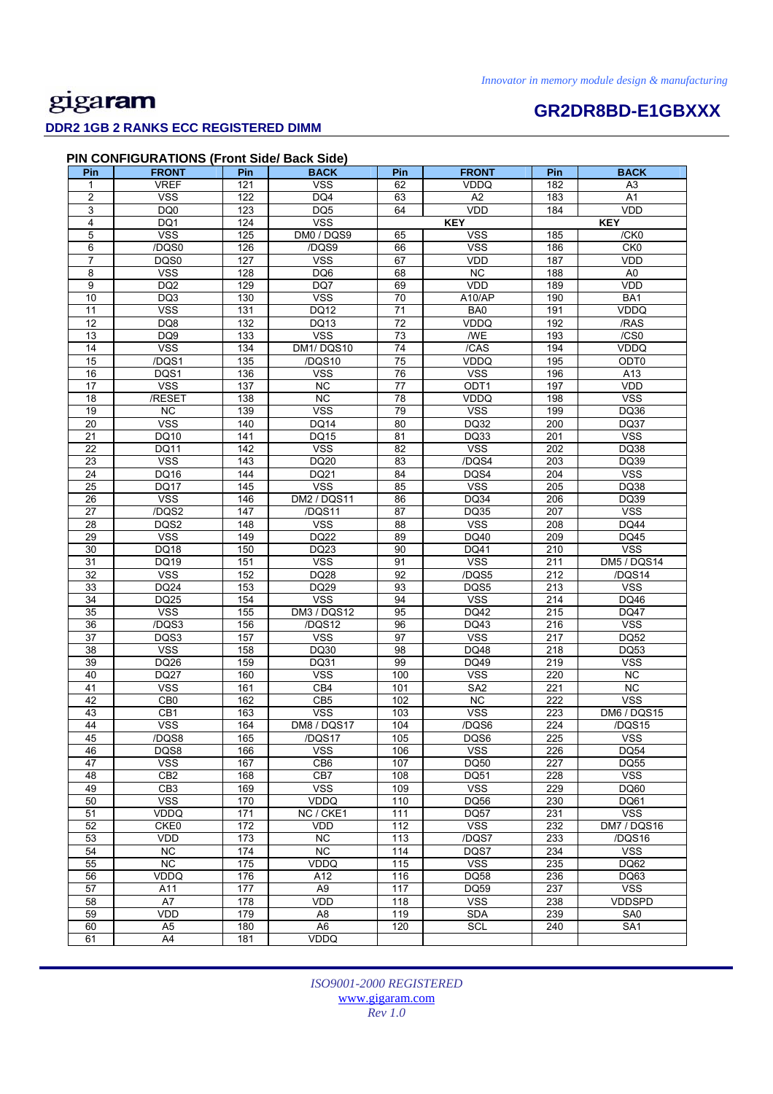#### **DDR2 1GB 2 RANKS ECC REGISTERED DIMM**

# **GR2DR8BD-E1GBXXX**

| Pin              | PIN CONFIGURATIONS (Front Side/ Back Side)<br><b>FRONT</b> | Pin              | <b>BACK</b>           | Pin             | <b>FRONT</b>        | Pin              | <b>BACK</b>                     |
|------------------|------------------------------------------------------------|------------------|-----------------------|-----------------|---------------------|------------------|---------------------------------|
| 1                | <b>VREF</b>                                                | 121              | <b>VSS</b>            | 62              | <b>VDDQ</b>         | 182              | A <sub>3</sub>                  |
| $\overline{2}$   | <b>VSS</b>                                                 | 122              | DQ4                   | 63              | A2                  | 183              | A1                              |
| 3                | DQ0                                                        | 123              | DQ <sub>5</sub>       | 64              | VDD                 | 184              | VDD                             |
| 4                | DQ1                                                        | 124              | <b>VSS</b>            |                 | <b>KEY</b>          |                  | <b>KEY</b>                      |
| 5                | <b>VSS</b>                                                 | 125              | DM0 / DQS9            | 65              | <b>VSS</b>          | 185              | /CK0                            |
| 6                | /DQS0                                                      | 126              | /DQS9                 | 66              | <b>VSS</b>          | 186              | CK <sub>0</sub>                 |
| $\overline{7}$   | DQS0                                                       | 127              | <b>VSS</b>            | 67              | <b>VDD</b>          | 187              | <b>VDD</b>                      |
| 8                | <b>VSS</b>                                                 | 128              | DQ6                   | 68              | $\overline{NC}$     | 188              | A0                              |
| $\boldsymbol{9}$ | DQ <sub>2</sub>                                            | 129              | DQ7                   | 69              | VDD                 | 189              | VDD                             |
| 10               | DQ3                                                        | 130              | <b>VSS</b>            | 70              | A10/AP              | 190              | BA <sub>1</sub>                 |
| 11               | <b>VSS</b>                                                 | 131              | DQ12                  | 71              | BA0                 | 191              | VDDQ                            |
| $\overline{12}$  | DQ8                                                        | 132              | DQ13                  | $\overline{72}$ | VDDQ                | 192              | /RAS                            |
| 13               | DQ <sub>9</sub>                                            | 133              | <b>VSS</b>            | 73              | <b>WE</b>           | 193              | /CS0                            |
| 14               | <b>VSS</b>                                                 | 134              | DM1/DQS10             | 74              | /CAS                | 194              | <b>VDDQ</b>                     |
| 15               | /DQS1                                                      | $\overline{135}$ | /DQS10                | 75              | VDDQ                | 195              | ODT0                            |
| 16               | DQS1                                                       | 136              | <b>VSS</b>            | 76              | <b>VSS</b>          | 196              | A13                             |
| 17               | <b>VSS</b>                                                 | 137              | $\overline{NC}$       | 77              | ODT <sub>1</sub>    | 197              | VDD                             |
| 18               | /RESET                                                     | 138              | $\overline{NC}$       | 78              | VDDQ                | 198              | <b>VSS</b>                      |
| 19               | <b>NC</b>                                                  | 139              | <b>VSS</b>            | 79              | <b>VSS</b>          | 199              | DQ36                            |
| 20<br>21         | <b>VSS</b>                                                 | 140<br>141       | DQ14<br><b>DQ15</b>   | 80<br>81        | <b>DQ32</b><br>DQ33 | 200<br>201       | DQ37<br>$\overline{\text{VSS}}$ |
| 22               | DQ10<br>DQ11                                               | 142              | <b>VSS</b>            | 82              | <b>VSS</b>          | 202              | <b>DQ38</b>                     |
| 23               | <b>VSS</b>                                                 | 143              | <b>DQ20</b>           | 83              | /DQS4               | 203              | DQ39                            |
| 24               | DQ16                                                       | 144              | DQ21                  | 84              | DQS4                | 204              | <b>VSS</b>                      |
| 25               | <b>DQ17</b>                                                | 145              | <b>VSS</b>            | 85              | <b>VSS</b>          | 205              | DQ38                            |
| 26               | <b>VSS</b>                                                 | 146              | <b>DM2 / DQS11</b>    | 86              | <b>DQ34</b>         | 206              | DQ39                            |
| 27               | /DQS2                                                      | 147              | /DQS11                | 87              | <b>DQ35</b>         | 207              | <b>VSS</b>                      |
| $\overline{28}$  | DQS2                                                       | 148              | <b>VSS</b>            | $\overline{88}$ | <b>VSS</b>          | 208              | <b>DQ44</b>                     |
| 29               | <b>VSS</b>                                                 | 149              | DQ22                  | 89              | DQ40                | 209              | DQ45                            |
| 30               | DQ18                                                       | 150              | <b>DQ23</b>           | 90              | <b>DQ41</b>         | 210              | <b>VSS</b>                      |
| 31               | DQ19                                                       | 151              | <b>VSS</b>            | 91              | <b>VSS</b>          | 211              | DM5 / DQS14                     |
| 32               | <b>VSS</b>                                                 | 152              | DQ28                  | 92              | /DQS5               | 212              | /DQS14                          |
| 33               | DQ24                                                       | 153              | DQ29                  | 93              | DQS5                | 213              | <b>VSS</b>                      |
| 34               | <b>DQ25</b>                                                | 154              | <b>VSS</b>            | 94              | <b>VSS</b>          | 214              | DQ46                            |
| 35               | <b>VSS</b>                                                 | 155              | DM3 / DQS12           | 95              | DQ42                | 215              | <b>DQ47</b>                     |
| 36               | /DQS3                                                      | 156              | /DQS12                | 96              | DQ43                | 216              | <b>VSS</b>                      |
| 37               | DQS3                                                       | 157              | <b>VSS</b>            | 97              | <b>VSS</b>          | 217              | <b>DQ52</b>                     |
| 38               | <b>VSS</b>                                                 | 158              | DQ30                  | 98              | DQ48                | 218              | DQ53                            |
| 39               | DQ26                                                       | 159              | DQ31                  | 99              | DQ49                | 219              | $\overline{\text{VSS}}$         |
| 40               | <b>DQ27</b>                                                | 160              | <b>VSS</b>            | 100             | VSS                 | 220              | <b>NC</b>                       |
| 41               | <b>VSS</b>                                                 | 161              | CB4                   | 101             | SA <sub>2</sub>     | 221              | <b>NC</b>                       |
| 42               | CB <sub>0</sub>                                            | 162              | CB5                   | 102             | NC                  | 222              | <b>VSS</b>                      |
| 43               | CB <sub>1</sub>                                            | 163              | <b>VSS</b>            | 103             | <b>VSS</b>          | 223              | DM6 / DQS15                     |
| 44               | <b>VSS</b>                                                 | 164              | DM8 / DQS17           | 104             | /DQS6               | $\overline{224}$ | /DQS15                          |
| 45               | /DQS8                                                      | 165              | /DQS17                | 105             | DQS6                | 225              | <b>VSS</b>                      |
| 46               | DQS8                                                       | 166              | <b>VSS</b>            | 106             | <b>VSS</b>          | 226              | DQ54                            |
| 47               | <b>VSS</b>                                                 | 167              | CB6                   | 107             | DQ50                | 227              | <b>DQ55</b>                     |
| 48               | CB <sub>2</sub>                                            | 168              | CB7                   | 108             | DQ51                | 228              | <b>VSS</b>                      |
| 49               | CB <sub>3</sub>                                            | 169              | <b>VSS</b>            | 109             | <b>VSS</b>          | 229              | DQ60                            |
| 50               | <b>VSS</b>                                                 | 170              | VDDQ                  | 110             | DQ56                | 230              | DQ61                            |
| 51               | VDDQ                                                       | 171              | NC / CKE1             | 111             | <b>DQ57</b>         | 231              | <b>VSS</b>                      |
| 52               | CKE0                                                       | 172              | VDD                   | 112             | <b>VSS</b>          | 232              | DM7 / DQS16                     |
| 53               | <b>VDD</b>                                                 | 173              | NC                    | 113             | /DQS7               | 233              | /DQS16                          |
| 54               | <b>NC</b>                                                  | 174              | $\overline{NC}$       | 114             | DQS7                | 234              | <b>VSS</b>                      |
| 55               | NC                                                         | 175              | VDDQ                  | 115             | <b>VSS</b>          | 235              | DQ62                            |
| 56<br>57         | VDDQ<br>A11                                                | 176<br>177       | A12<br>A <sub>9</sub> | 116<br>117      | DQ58<br>DQ59        | 236<br>237       | DQ63<br><b>VSS</b>              |
|                  |                                                            |                  |                       |                 |                     |                  |                                 |

*ISO9001-2000 REGISTERED*  www.gigaram.com *Rev 1.0*

58 | A7 | 178 | VDD | 118 | VSS | 238 | VDDSPD 59 | VDD | 179 | A8 | 119 | SDA | 239 | SA0 60 | A5 | 180 | A6 | 120 | SCL | 240 | SA1

61 A4 181 VDDQ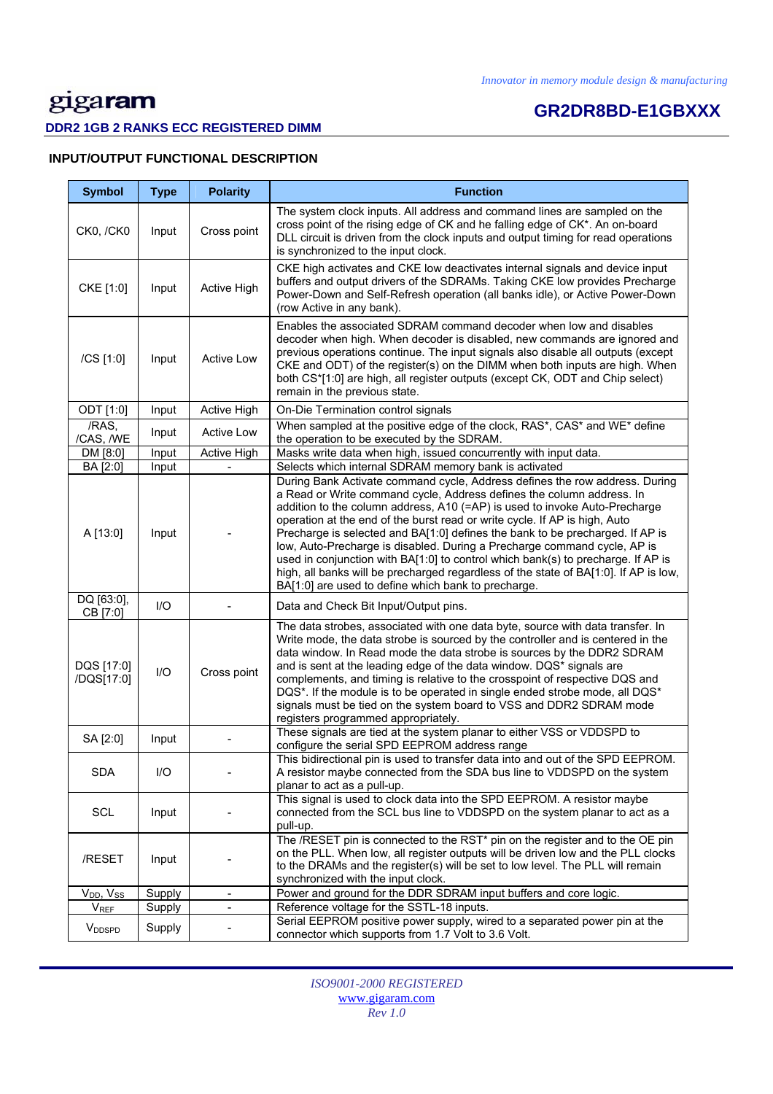# **GR2DR8BD-E1GBXXX**

### **DDR2 1GB 2 RANKS ECC REGISTERED DIMM**

### **INPUT/OUTPUT FUNCTIONAL DESCRIPTION**

| <b>Symbol</b>             | <b>Type</b> | <b>Polarity</b>              | <b>Function</b>                                                                                                                                                                                                                                                                                                                                                                                                                                                                                                                                                                                                                                                                                                  |
|---------------------------|-------------|------------------------------|------------------------------------------------------------------------------------------------------------------------------------------------------------------------------------------------------------------------------------------------------------------------------------------------------------------------------------------------------------------------------------------------------------------------------------------------------------------------------------------------------------------------------------------------------------------------------------------------------------------------------------------------------------------------------------------------------------------|
| <b>CK0, /CK0</b>          | Input       | Cross point                  | The system clock inputs. All address and command lines are sampled on the<br>cross point of the rising edge of CK and he falling edge of CK*. An on-board<br>DLL circuit is driven from the clock inputs and output timing for read operations<br>is synchronized to the input clock.                                                                                                                                                                                                                                                                                                                                                                                                                            |
| CKE [1:0]                 | Input       | Active High                  | CKE high activates and CKE low deactivates internal signals and device input<br>buffers and output drivers of the SDRAMs. Taking CKE low provides Precharge<br>Power-Down and Self-Refresh operation (all banks idle), or Active Power-Down<br>(row Active in any bank).                                                                                                                                                                                                                                                                                                                                                                                                                                         |
| /CS [1:0]                 | Input       | Active Low                   | Enables the associated SDRAM command decoder when low and disables<br>decoder when high. When decoder is disabled, new commands are ignored and<br>previous operations continue. The input signals also disable all outputs (except<br>CKE and ODT) of the register(s) on the DIMM when both inputs are high. When<br>both CS*[1:0] are high, all register outputs (except CK, ODT and Chip select)<br>remain in the previous state.                                                                                                                                                                                                                                                                             |
| ODT [1:0]                 | Input       | <b>Active High</b>           | On-Die Termination control signals                                                                                                                                                                                                                                                                                                                                                                                                                                                                                                                                                                                                                                                                               |
| /RAS,<br>/CAS, /WE        | Input       | <b>Active Low</b>            | When sampled at the positive edge of the clock, RAS*, CAS* and WE* define<br>the operation to be executed by the SDRAM.                                                                                                                                                                                                                                                                                                                                                                                                                                                                                                                                                                                          |
| DM [8:0]                  | Input       | <b>Active High</b>           | Masks write data when high, issued concurrently with input data.                                                                                                                                                                                                                                                                                                                                                                                                                                                                                                                                                                                                                                                 |
| BA [2:0]                  | Input       | L.                           | Selects which internal SDRAM memory bank is activated                                                                                                                                                                                                                                                                                                                                                                                                                                                                                                                                                                                                                                                            |
| A [13:0]                  | Input       |                              | During Bank Activate command cycle, Address defines the row address. During<br>a Read or Write command cycle, Address defines the column address. In<br>addition to the column address, A10 (=AP) is used to invoke Auto-Precharge<br>operation at the end of the burst read or write cycle. If AP is high, Auto<br>Precharge is selected and BA[1:0] defines the bank to be precharged. If AP is<br>low, Auto-Precharge is disabled. During a Precharge command cycle, AP is<br>used in conjunction with BA[1:0] to control which bank(s) to precharge. If AP is<br>high, all banks will be precharged regardless of the state of BA[1:0]. If AP is low,<br>BA[1:0] are used to define which bank to precharge. |
| DQ [63:0],<br>CB [7:0]    | $II$        |                              | Data and Check Bit Input/Output pins.                                                                                                                                                                                                                                                                                                                                                                                                                                                                                                                                                                                                                                                                            |
| DQS [17:0]<br>/DQS[17:0]  | $UO$        | Cross point                  | The data strobes, associated with one data byte, source with data transfer. In<br>Write mode, the data strobe is sourced by the controller and is centered in the<br>data window. In Read mode the data strobe is sources by the DDR2 SDRAM<br>and is sent at the leading edge of the data window. DQS* signals are<br>complements, and timing is relative to the crosspoint of respective DQS and<br>DQS*. If the module is to be operated in single ended strobe mode, all DQS*<br>signals must be tied on the system board to VSS and DDR2 SDRAM mode<br>registers programmed appropriately.                                                                                                                  |
| SA [2:0]                  | Input       |                              | These signals are tied at the system planar to either VSS or VDDSPD to<br>configure the serial SPD EEPROM address range                                                                                                                                                                                                                                                                                                                                                                                                                                                                                                                                                                                          |
| <b>SDA</b>                | I/O         |                              | This bidirectional pin is used to transfer data into and out of the SPD EEPROM.<br>A resistor maybe connected from the SDA bus line to VDDSPD on the system<br>planar to act as a pull-up.                                                                                                                                                                                                                                                                                                                                                                                                                                                                                                                       |
| SCL                       | Input       |                              | This signal is used to clock data into the SPD EEPROM. A resistor maybe<br>connected from the SCL bus line to VDDSPD on the system planar to act as a<br>pull-up.                                                                                                                                                                                                                                                                                                                                                                                                                                                                                                                                                |
| /RESET                    | Input       |                              | The /RESET pin is connected to the RST* pin on the register and to the OE pin<br>on the PLL. When low, all register outputs will be driven low and the PLL clocks<br>to the DRAMs and the register(s) will be set to low level. The PLL will remain<br>synchronized with the input clock.                                                                                                                                                                                                                                                                                                                                                                                                                        |
| $V_{DD}$ , $V_{SS}$       | Supply      | $\overline{\phantom{0}}$     | Power and ground for the DDR SDRAM input buffers and core logic.                                                                                                                                                                                                                                                                                                                                                                                                                                                                                                                                                                                                                                                 |
| <b>V</b> <sub>REF</sub>   | Supply      | $\qquad \qquad \blacksquare$ | Reference voltage for the SSTL-18 inputs.                                                                                                                                                                                                                                                                                                                                                                                                                                                                                                                                                                                                                                                                        |
| <b>V</b> <sub>DDSPD</sub> | Supply      |                              | Serial EEPROM positive power supply, wired to a separated power pin at the<br>connector which supports from 1.7 Volt to 3.6 Volt.                                                                                                                                                                                                                                                                                                                                                                                                                                                                                                                                                                                |

*ISO9001-2000 REGISTERED*  www.gigaram.com *Rev 1.0*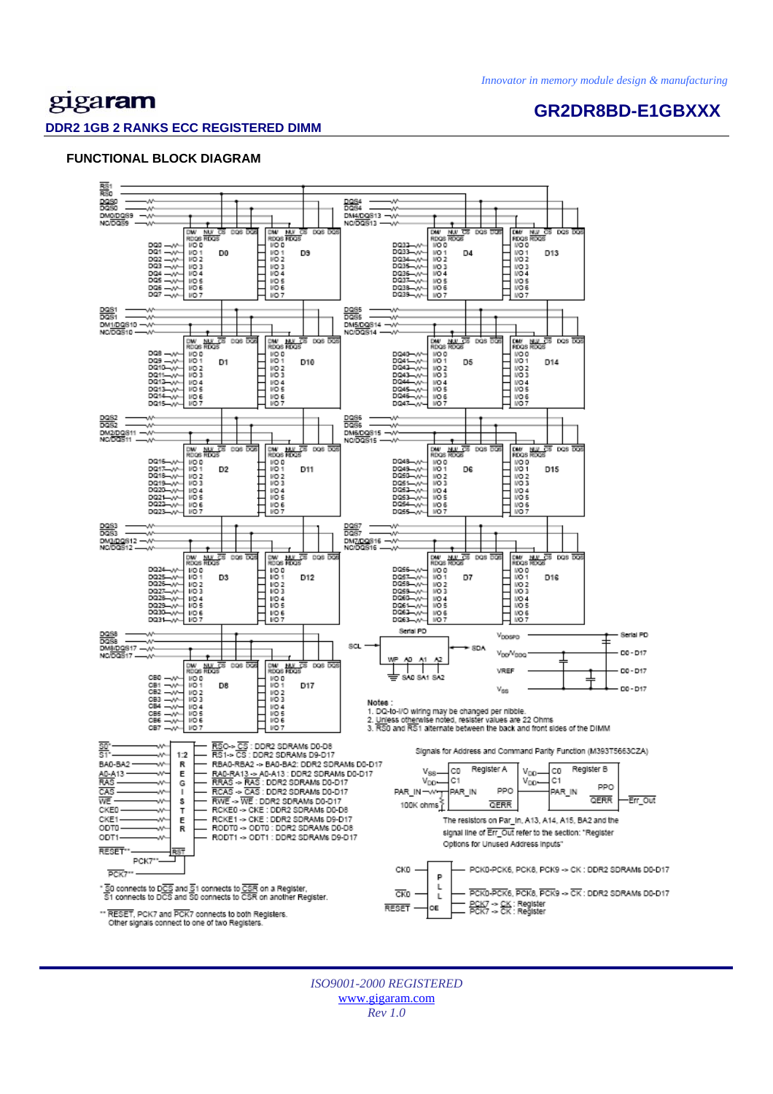# gigaram

### **GR2DR8BD-E1GBXXX**

#### **DDR2 1GB 2 RANKS ECC REGISTERED DIMM**

#### **FUNCTIONAL BLOCK DIAGRAM**



*ISO9001-2000 REGISTERED*  www.gigaram.com *Rev 1.0*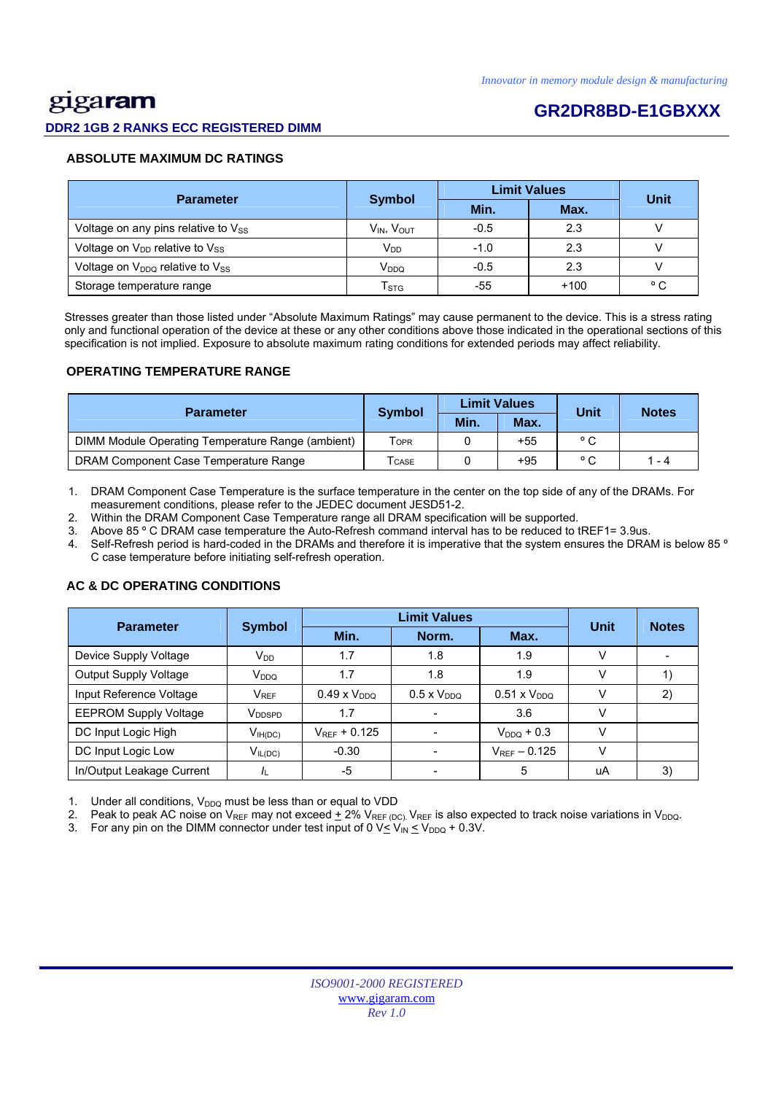# gigaram

#### **DDR2 1GB 2 RANKS ECC REGISTERED DIMM**

## **GR2DR8BD-E1GBXXX**

#### **ABSOLUTE MAXIMUM DC RATINGS**

| <b>Parameter</b>                                       | <b>Symbol</b>             | <b>Limit Values</b> | Unit   |              |
|--------------------------------------------------------|---------------------------|---------------------|--------|--------------|
|                                                        |                           | Min.                | Max.   |              |
| Voltage on any pins relative to $V_{SS}$               | $V_{IN}$ , $V_{OUT}$      | $-0.5$              | 2.3    |              |
| Voltage on V <sub>DD</sub> relative to V <sub>SS</sub> | V <sub>DD</sub>           | $-1.0$              | 2.3    |              |
| Voltage on $V_{DDQ}$ relative to $V_{SS}$              | V <sub>DDQ</sub>          | $-0.5$              | 2.3    |              |
| Storage temperature range                              | $\mathsf{T}_{\text{STG}}$ | -55                 | $+100$ | $^{\circ}$ C |

 Stresses greater than those listed under "Absolute Maximum Ratings" may cause permanent to the device. This is a stress rating only and functional operation of the device at these or any other conditions above those indicated in the operational sections of this specification is not implied. Exposure to absolute maximum rating conditions for extended periods may affect reliability.

#### **OPERATING TEMPERATURE RANGE**

| <b>Parameter</b>                                  | <b>Symbol</b>              |      | <b>Limit Values</b> | Unit           | <b>Notes</b> |  |
|---------------------------------------------------|----------------------------|------|---------------------|----------------|--------------|--|
|                                                   |                            | Min. | Max.                |                |              |  |
| DIMM Module Operating Temperature Range (ambient) | <b>TOPR</b>                |      | $+55$               | $^{\circ}$ C   |              |  |
| DRAM Component Case Temperature Range             | $\mathsf{T}_\mathsf{CASE}$ |      | $+95$               | $\circ$ $\sim$ | 1 - 4        |  |

1. DRAM Component Case Temperature is the surface temperature in the center on the top side of any of the DRAMs. For measurement conditions, please refer to the JEDEC document JESD51-2.

2. Within the DRAM Component Case Temperature range all DRAM specification will be supported.

3. Above 85 º C DRAM case temperature the Auto-Refresh command interval has to be reduced to tREF1= 3.9us.

4. Self-Refresh period is hard-coded in the DRAMs and therefore it is imperative that the system ensures the DRAM is below 85 º C case temperature before initiating self-refresh operation.

### Parameter Symbol **Definit Values**<br>Min. Norm. Max. **Unit Notes**  Device Supply Voltage  $V_{DD}$   $V_{DD}$  1.7  $1.8$  1.8 1.9 V Output Supply Voltage VDDQ 1.7 1.8 1.9 V 1) Input Reference Voltage  $V_{REF}$  0.49 x V<sub>DDQ</sub> 0.5 x V<sub>DDQ</sub> 0.51 x V<sub>DDQ</sub> V 2) EEPROM Supply Voltage VDDSPD 1.7 - 3.6 V DC Input Logic High  $V_{\text{H(DC)}}$   $V_{\text{REF}}$  + 0.125  $\vert$  -  $V_{\text{DDQ}}$  + 0.3  $\vert$  V DC Input Logic Low  $V_{IL(DC)}$   $-0.30$   $-V_{REF} - 0.125$  V In/Output Leakage Current |  $I_L$  | -5 | - | 5 | uA | 3)

#### **AC & DC OPERATING CONDITIONS**

Under all conditions,  $V_{DDQ}$  must be less than or equal to VDD

2. Peak to peak AC noise on V<sub>REF</sub> may not exceed  $\pm$  2% V<sub>REF (DC)</sub>. V<sub>REF</sub> is also expected to track noise variations in V<sub>DDQ</sub>.

3. For any pin on the DIMM connector under test input of 0  $V \leq V_{IN} \leq V_{DDQ} + 0.3V$ .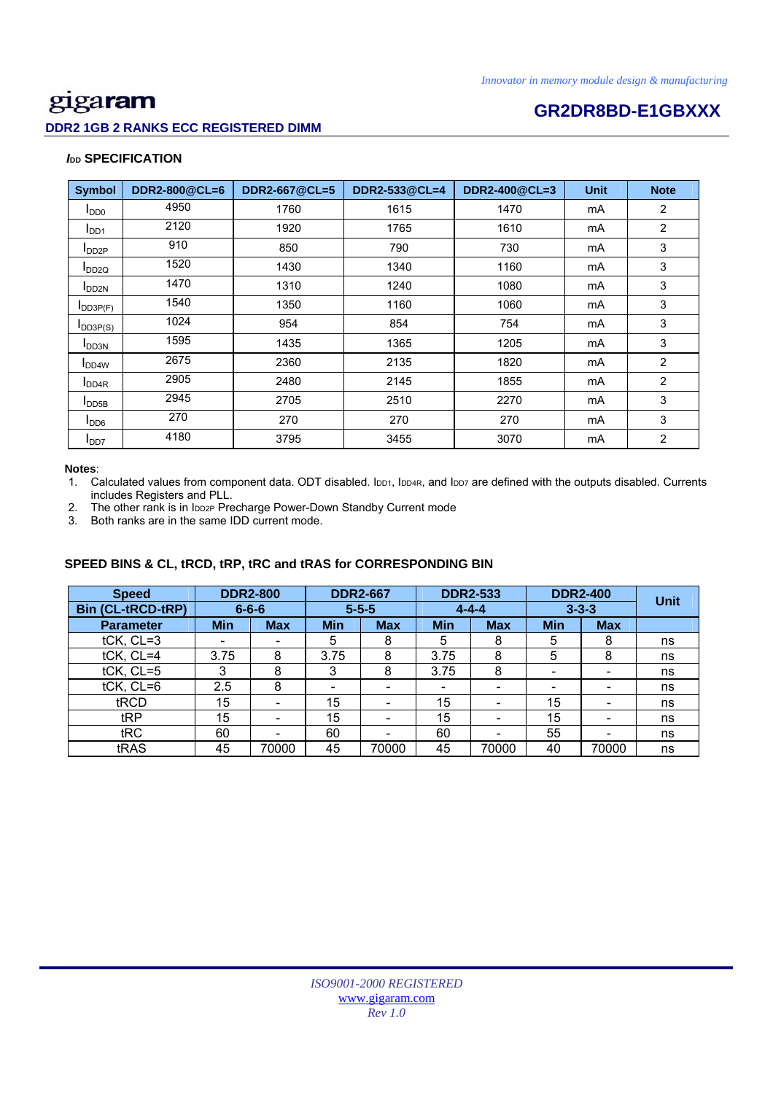### **DDR2 1GB 2 RANKS ECC REGISTERED DIMM**

# **Example 20 Intervention CR2DR8BD-E1GBXXX**

#### *I***<sub>DD</sub> SPECIFICATION**

| <b>Symbol</b>              | DDR2-800@CL=6 | DDR2-667@CL=5 | DDR2-533@CL=4 | DDR2-400@CL=3 | <b>Unit</b> | <b>Note</b>    |
|----------------------------|---------------|---------------|---------------|---------------|-------------|----------------|
| $I_{DD0}$                  | 4950          | 1760          | 1615          | 1470          | mA          | $\overline{2}$ |
| I <sub>DD1</sub>           | 2120          | 1920          | 1765          | 1610          | mA          | $\overline{2}$ |
| $I_{DD2P}$                 | 910           | 850           | 790           | 730           | mA          | 3              |
| $I_{DD2Q}$                 | 1520          | 1430          | 1340          | 1160          | mA          | 3              |
| <b>I</b> DD <sub>2N</sub>  | 1470          | 1310          | 1240          | 1080          | mA          | 3              |
| $I$ <sub>DD3P(F)</sub>     | 1540          | 1350          | 1160          | 1060          | mA          | 3              |
| $I_{DD3P(S)}$              | 1024          | 954           | 854           | 754           | mA          | 3              |
| <b>I</b> DD3N              | 1595          | 1435          | 1365          | 1205          | mA          | 3              |
| <b>I</b> DD <sub>4</sub> W | 2675          | 2360          | 2135          | 1820          | mA          | $\overline{2}$ |
| I <sub>DD4R</sub>          | 2905          | 2480          | 2145          | 1855          | mA          | $\overline{2}$ |
| $I_{\text{DDB}}$           | 2945          | 2705          | 2510          | 2270          | mA          | 3              |
| $I_{DD6}$                  | 270           | 270           | 270           | 270           | mA          | 3              |
| I <sub>DD7</sub>           | 4180          | 3795          | 3455          | 3070          | mA          | $\overline{2}$ |

#### **Notes**:

1. Calculated values from component data. ODT disabled. IDD1, IDD4R, and IDD7 are defined with the outputs disabled. Currents includes Registers and PLL.

2. The other rank is in IDD2P Precharge Power-Down Standby Current mode

3. Both ranks are in the same IDD current mode.

### **SPEED BINS & CL, tRCD, tRP, tRC and tRAS for CORRESPONDING BIN**

| <b>Speed</b>             | <b>DDR2-800</b> |                          | <b>DDR2-667</b> |            | <b>DDR2-533</b>          |                          | <b>DDR2-400</b>          |            | <b>Unit</b> |
|--------------------------|-----------------|--------------------------|-----------------|------------|--------------------------|--------------------------|--------------------------|------------|-------------|
| <b>Bin (CL-tRCD-tRP)</b> |                 | $6 - 6 - 6$              | $5 - 5 - 5$     |            | $4 - 4 - 4$              |                          | $3 - 3 - 3$              |            |             |
| <b>Parameter</b>         | <b>Min</b>      | <b>Max</b>               | <b>Min</b>      | <b>Max</b> | <b>Min</b>               | <b>Max</b>               | <b>Min</b>               | <b>Max</b> |             |
| tCK, CL=3                | ۰               |                          | 5               | 8          | 5                        | 8                        | 5                        | 8          | ns          |
| tCK, CL=4                | 3.75            | 8                        | 3.75            | 8          | 3.75                     | 8                        | 5                        | 8          | ns          |
| tCK, CL=5                | 3               | 8                        | 3               | 8          | 3.75                     | 8                        | $\overline{\phantom{0}}$ | -          | ns          |
| $tCK$ , $CL=6$           | 2.5             | 8                        | -               |            | $\overline{\phantom{0}}$ | -                        | -                        |            | ns          |
| tRCD                     | 15              | $\overline{\phantom{0}}$ | 15              | -          | 15                       | -                        | 15                       |            | ns          |
| tRP                      | 15              |                          | 15              |            | 15                       | $\overline{\phantom{0}}$ | 15                       |            | ns          |
| tRC                      | 60              |                          | 60              |            | 60                       |                          | 55                       |            | ns          |
| tRAS                     | 45              | 70000                    | 45              | 70000      | 45                       | 70000                    | 40                       | 70000      | ns          |